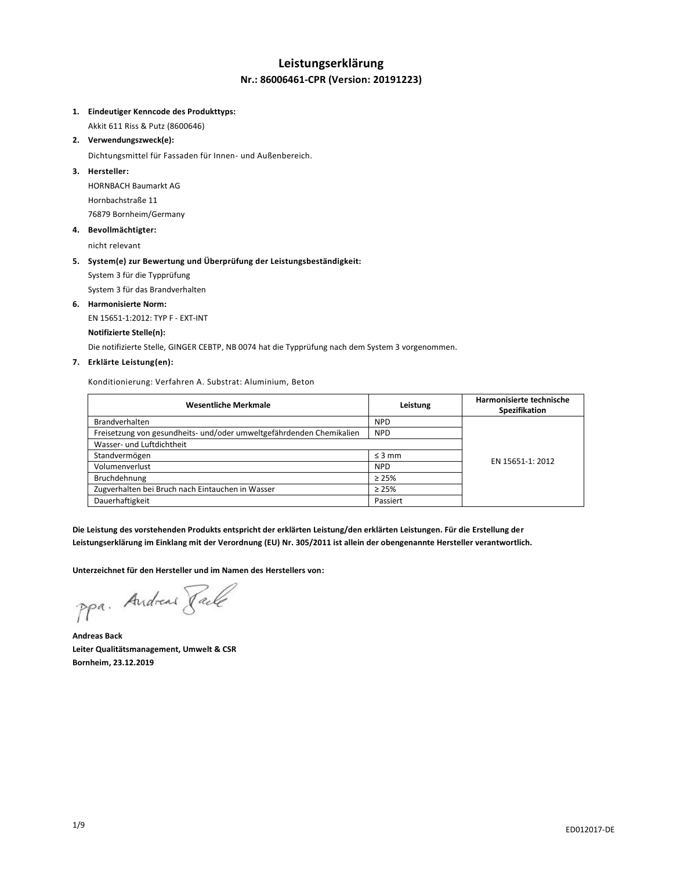# **Leistungserklärung Nr.: 86006461-CPR (Version: 20191223)**

#### **1. Eindeutiger Kenncode des Produkttyps:**

Akkit 611 Riss & Putz (8600646)

**2. Verwendungszweck(e):**

Dichtungsmittel für Fassaden für Innen- und Außenbereich.

# **3. Hersteller:**

HORNBACH Baumarkt AG Hornbachstraße 11 76879 Bornheim/Germany

#### **4. Bevollmächtigter:**

nicht relevant

# **5. System(e) zur Bewertung und Überprüfung der Leistungsbeständigkeit:**

System 3 für die Typprüfung

System 3 für das Brandverhalten

## **6. Harmonisierte Norm:**

EN 15651-1:2012: TYP F - EXT-INT

## **Notifizierte Stelle(n):**

Die notifizierte Stelle, GINGER CEBTP, NB 0074 hat die Typprüfung nach dem System 3 vorgenommen.

## **7. Erklärte Leistung(en):**

Konditionierung: Verfahren A. Substrat: Aluminium, Beton

| <b>Wesentliche Merkmale</b>                                          | Leistung    | Harmonisierte technische<br>Spezifikation |
|----------------------------------------------------------------------|-------------|-------------------------------------------|
| <b>Brandverhalten</b>                                                | <b>NPD</b>  |                                           |
| Freisetzung von gesundheits- und/oder umweltgefährdenden Chemikalien | <b>NPD</b>  |                                           |
| Wasser- und Luftdichtheit                                            |             |                                           |
| Standvermögen                                                        | $\leq$ 3 mm | EN 15651-1: 2012                          |
| Volumenverlust                                                       | <b>NPD</b>  |                                           |
| Bruchdehnung                                                         | $\geq 25\%$ |                                           |
| Zugverhalten bei Bruch nach Eintauchen in Wasser                     | $\geq 25\%$ |                                           |
| Dauerhaftigkeit                                                      | Passiert    |                                           |

**Die Leistung des vorstehenden Produkts entspricht der erklärten Leistung/den erklärten Leistungen. Für die Erstellung der Leistungserklärung im Einklang mit der Verordnung (EU) Nr. 305/2011 ist allein der obengenannte Hersteller verantwortlich.**

**Unterzeichnet für den Hersteller und im Namen des Herstellers von:**

ppa. Andreas Pale

**Andreas Back Leiter Qualitätsmanagement, Umwelt & CSR Bornheim, 23.12.2019**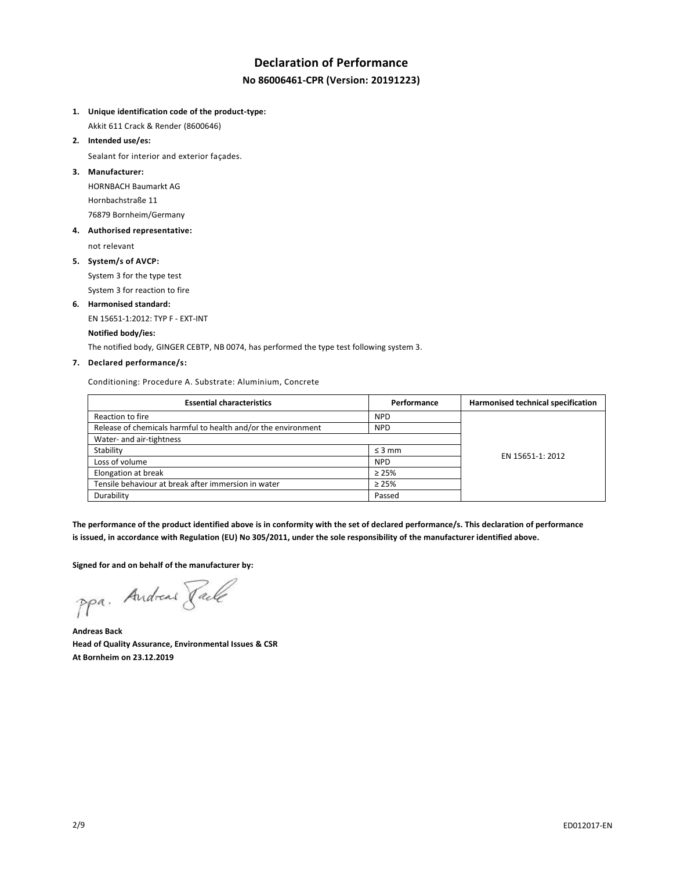# **Declaration of Performance No 86006461-CPR (Version: 20191223)**

**1. Unique identification code of the product-type:**

Akkit 611 Crack & Render (8600646)

**2. Intended use/es:**

Sealant for interior and exterior façades.

**3. Manufacturer:**

HORNBACH Baumarkt AG Hornbachstraße 11 76879 Bornheim/Germany

**4. Authorised representative:**

not relevant

**5. System/s of AVCP:**

System 3 for the type test System 3 for reaction to fire

**6. Harmonised standard:**

EN 15651-1:2012: TYP F - EXT-INT

# **Notified body/ies:**

The notified body, GINGER CEBTP, NB 0074, has performed the type test following system 3.

# **7. Declared performance/s:**

Conditioning: Procedure A. Substrate: Aluminium, Concrete

| <b>Essential characteristics</b>                              | Performance | Harmonised technical specification |
|---------------------------------------------------------------|-------------|------------------------------------|
| Reaction to fire                                              | <b>NPD</b>  |                                    |
| Release of chemicals harmful to health and/or the environment | <b>NPD</b>  |                                    |
| Water- and air-tightness                                      |             |                                    |
| Stability                                                     | $\leq$ 3 mm | EN 15651-1: 2012                   |
| Loss of volume                                                | <b>NPD</b>  |                                    |
| Elongation at break                                           | $\geq 25\%$ |                                    |
| Tensile behaviour at break after immersion in water           | $\geq 25\%$ |                                    |
| Durability                                                    | Passed      |                                    |

**The performance of the product identified above is in conformity with the set of declared performance/s. This declaration of performance is issued, in accordance with Regulation (EU) No 305/2011, under the sole responsibility of the manufacturer identified above.**

**Signed for and on behalf of the manufacturer by:**

ppa. Andreas Pale

**Andreas Back Head of Quality Assurance, Environmental Issues & CSR At Bornheim on 23.12.2019**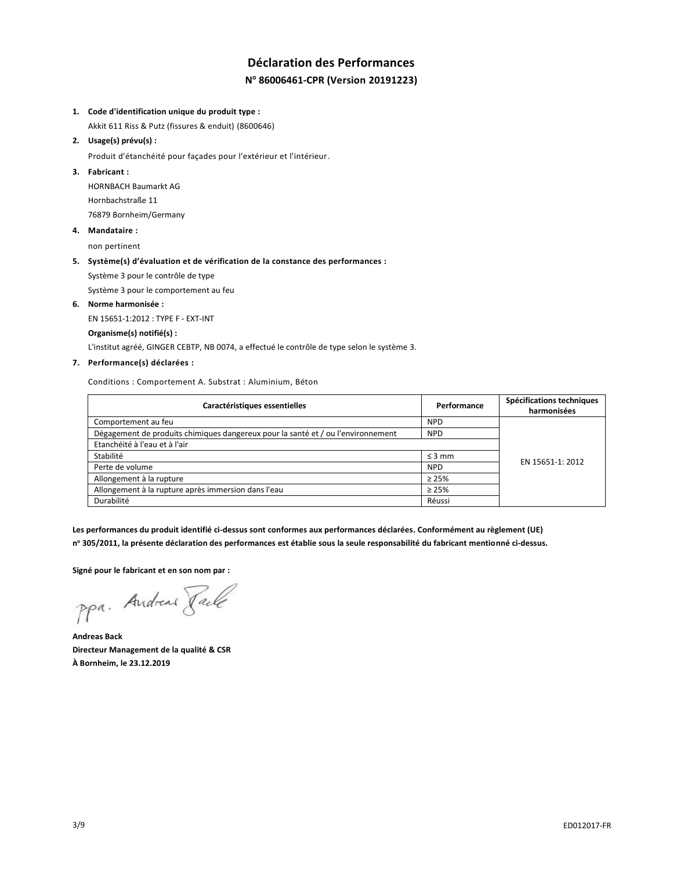# **Déclaration des Performances N <sup>o</sup> 86006461-CPR (Version 20191223)**

#### **1. Code d'identification unique du produit type :**

Akkit 611 Riss & Putz (fissures & enduit) (8600646)

#### **2. Usage(s) prévu(s) :**

Produit d'étanchéité pour façades pour l'extérieur et l'intérieur.

#### **3. Fabricant :**

HORNBACH Baumarkt AG Hornbachstraße 11 76879 Bornheim/Germany

#### **4. Mandataire :**

non pertinent

#### **5. Système(s) d'évaluation et de vérification de la constance des performances :**

Système 3 pour le contrôle de type

Système 3 pour le comportement au feu

#### **6. Norme harmonisée :**

EN 15651-1:2012 : TYPE F - EXT-INT

#### **Organisme(s) notifié(s) :**

L'institut agréé, GINGER CEBTP, NB 0074, a effectué le contrôle de type selon le système 3.

## **7. Performance(s) déclarées :**

Conditions : Comportement A. Substrat : Aluminium, Béton

| Caractéristiques essentielles                                                    | Performance | Spécifications techniques<br>harmonisées |
|----------------------------------------------------------------------------------|-------------|------------------------------------------|
| Comportement au feu                                                              | <b>NPD</b>  |                                          |
| Dégagement de produits chimiques dangereux pour la santé et / ou l'environnement | <b>NPD</b>  |                                          |
| Etanchéité à l'eau et à l'air                                                    |             |                                          |
| Stabilité                                                                        | $\leq$ 3 mm | EN 15651-1: 2012                         |
| Perte de volume                                                                  | <b>NPD</b>  |                                          |
| Allongement à la rupture                                                         | $\geq 25\%$ |                                          |
| Allongement à la rupture après immersion dans l'eau                              | $\geq 25\%$ |                                          |
| Durabilité                                                                       | Réussi      |                                          |

**Les performances du produit identifié ci-dessus sont conformes aux performances déclarées. Conformément au règlement (UE) n <sup>o</sup> 305/2011, la présente déclaration des performances est établie sous la seule responsabilité du fabricant mentionné ci-dessus.**

**Signé pour le fabricant et en son nom par :**

ppa. Andreas Pale

**Andreas Back Directeur Management de la qualité & CSR À Bornheim, le 23.12.2019**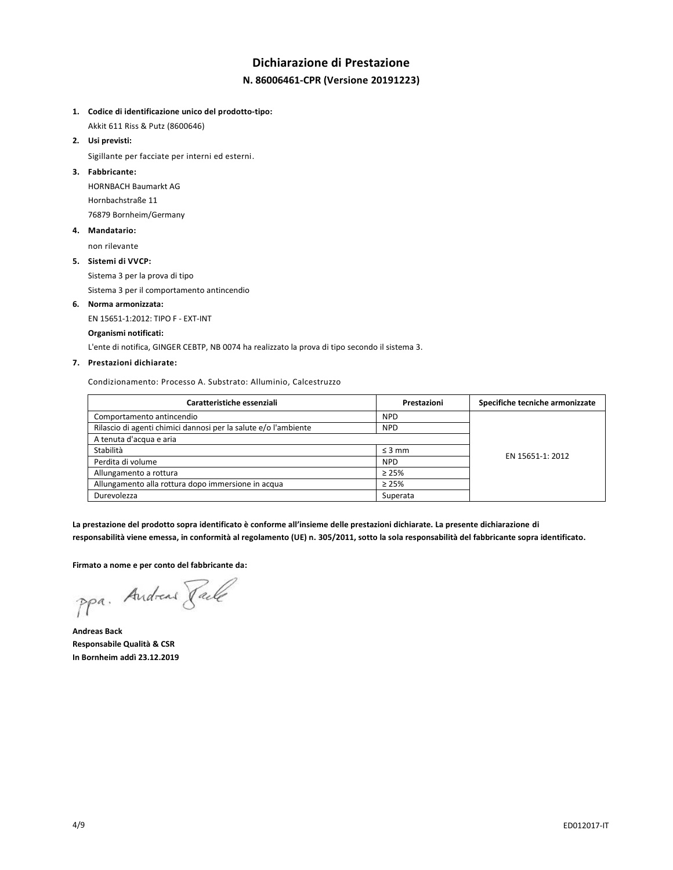# **Dichiarazione di Prestazione N. 86006461-CPR (Versione 20191223)**

#### **1. Codice di identificazione unico del prodotto-tipo:**

Akkit 611 Riss & Putz (8600646)

**2. Usi previsti:**

Sigillante per facciate per interni ed esterni.

### **3. Fabbricante:**

HORNBACH Baumarkt AG Hornbachstraße 11 76879 Bornheim/Germany

#### **4. Mandatario:**

non rilevante

#### **5. Sistemi di VVCP:**

Sistema 3 per la prova di tipo

Sistema 3 per il comportamento antincendio

# **6. Norma armonizzata:**

EN 15651-1:2012: TIPO F - EXT-INT

#### **Organismi notificati:**

L'ente di notifica, GINGER CEBTP, NB 0074 ha realizzato la prova di tipo secondo il sistema 3.

## **7. Prestazioni dichiarate:**

Condizionamento: Processo A. Substrato: Alluminio, Calcestruzzo

| Caratteristiche essenziali                                      | Prestazioni | Specifiche tecniche armonizzate |
|-----------------------------------------------------------------|-------------|---------------------------------|
| Comportamento antincendio                                       | <b>NPD</b>  |                                 |
| Rilascio di agenti chimici dannosi per la salute e/o l'ambiente | <b>NPD</b>  |                                 |
| A tenuta d'acqua e aria                                         |             |                                 |
| Stabilità                                                       | $\leq$ 3 mm | EN 15651-1: 2012                |
| Perdita di volume                                               | <b>NPD</b>  |                                 |
| Allungamento a rottura                                          | $\geq 25\%$ |                                 |
| Allungamento alla rottura dopo immersione in acqua              | $\geq 25\%$ |                                 |
| Durevolezza                                                     | Superata    |                                 |

**La prestazione del prodotto sopra identificato è conforme all'insieme delle prestazioni dichiarate. La presente dichiarazione di responsabilità viene emessa, in conformità al regolamento (UE) n. 305/2011, sotto la sola responsabilità del fabbricante sopra identificato.**

#### **Firmato a nome e per conto del fabbricante da:**

ppa. Andreas Faile

**Andreas Back Responsabile Qualità & CSR In Bornheim addì 23.12.2019**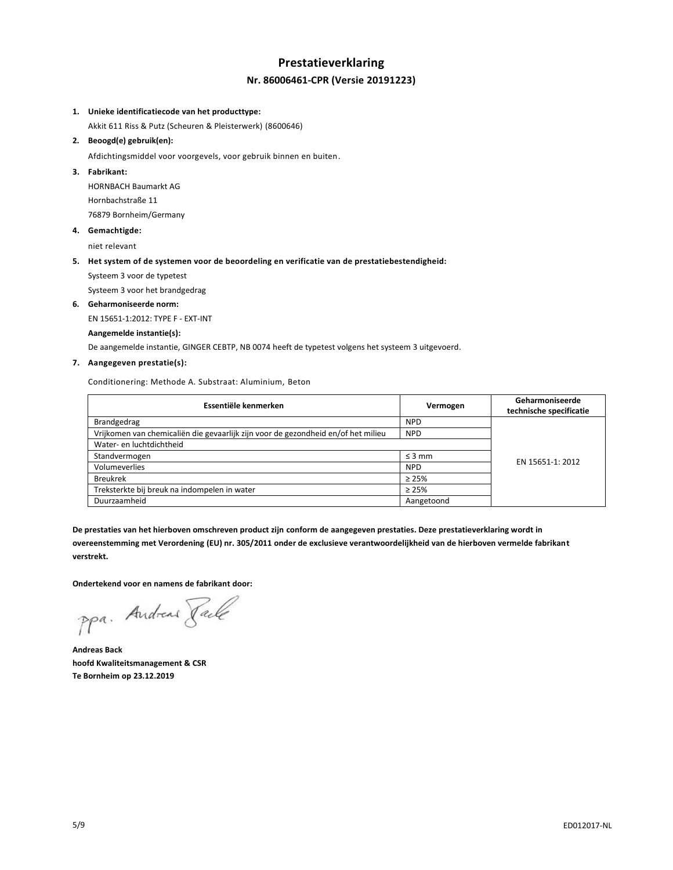# **Prestatieverklaring Nr. 86006461-CPR (Versie 20191223)**

#### **1. Unieke identificatiecode van het producttype:**

Akkit 611 Riss & Putz (Scheuren & Pleisterwerk) (8600646)

### **2. Beoogd(e) gebruik(en):**

Afdichtingsmiddel voor voorgevels, voor gebruik binnen en buiten.

#### **3. Fabrikant:**

HORNBACH Baumarkt AG Hornbachstraße 11 76879 Bornheim/Germany

#### **4. Gemachtigde:**

niet relevant

#### **5. Het system of de systemen voor de beoordeling en verificatie van de prestatiebestendigheid:**

Systeem 3 voor de typetest

Systeem 3 voor het brandgedrag

#### **6. Geharmoniseerde norm:**

EN 15651-1:2012: TYPE F - EXT-INT

#### **Aangemelde instantie(s):**

De aangemelde instantie, GINGER CEBTP, NB 0074 heeft de typetest volgens het systeem 3 uitgevoerd.

#### **7. Aangegeven prestatie(s):**

Conditionering: Methode A. Substraat: Aluminium, Beton

| Essentiële kenmerken                                                              | Vermogen    | Geharmoniseerde<br>technische specificatie |
|-----------------------------------------------------------------------------------|-------------|--------------------------------------------|
| Brandgedrag                                                                       | <b>NPD</b>  |                                            |
| Vrijkomen van chemicaliën die gevaarlijk zijn voor de gezondheid en/of het milieu | <b>NPD</b>  |                                            |
| Water- en luchtdichtheid                                                          |             |                                            |
| Standvermogen                                                                     | $\leq$ 3 mm | EN 15651-1: 2012                           |
| Volumeverlies                                                                     | <b>NPD</b>  |                                            |
| <b>Breukrek</b>                                                                   | $\geq 25\%$ |                                            |
| Treksterkte bij breuk na indompelen in water                                      | $\geq 25\%$ |                                            |
| Duurzaamheid                                                                      | Aangetoond  |                                            |

**De prestaties van het hierboven omschreven product zijn conform de aangegeven prestaties. Deze prestatieverklaring wordt in overeenstemming met Verordening (EU) nr. 305/2011 onder de exclusieve verantwoordelijkheid van de hierboven vermelde fabrikant verstrekt.**

**Ondertekend voor en namens de fabrikant door:**

ppa. Andreas Jack

**Andreas Back hoofd Kwaliteitsmanagement & CSR Te Bornheim op 23.12.2019**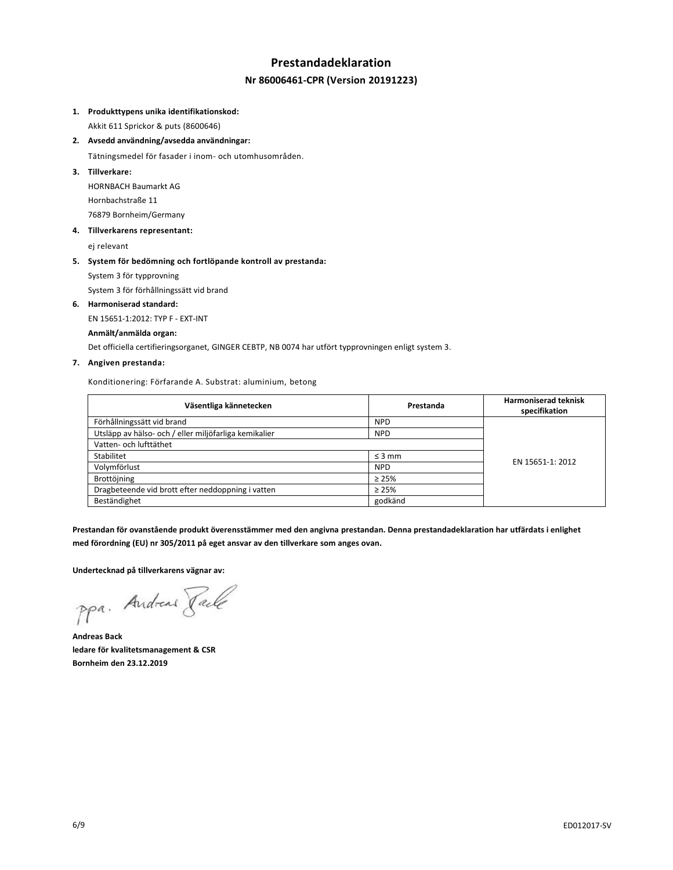# **Prestandadeklaration Nr 86006461-CPR (Version 20191223)**

#### **1. Produkttypens unika identifikationskod:**

Akkit 611 Sprickor & puts (8600646)

**2. Avsedd användning/avsedda användningar:**

Tätningsmedel för fasader i inom- och utomhusområden.

**3. Tillverkare:**

HORNBACH Baumarkt AG Hornbachstraße 11 76879 Bornheim/Germany

**4. Tillverkarens representant:**

ej relevant

# **5. System för bedömning och fortlöpande kontroll av prestanda:**

System 3 för typprovning

System 3 för förhållningssätt vid brand

## **6. Harmoniserad standard:**

EN 15651-1:2012: TYP F - EXT-INT

#### **Anmält/anmälda organ:**

Det officiella certifieringsorganet, GINGER CEBTP, NB 0074 har utfört typprovningen enligt system 3.

#### **7. Angiven prestanda:**

Konditionering: Förfarande A. Substrat: aluminium, betong

| Väsentliga kännetecken                                | Prestanda   | <b>Harmoniserad teknisk</b><br>specifikation |
|-------------------------------------------------------|-------------|----------------------------------------------|
| Förhållningssätt vid brand                            | <b>NPD</b>  |                                              |
| Utsläpp av hälso- och / eller miljöfarliga kemikalier | <b>NPD</b>  |                                              |
| Vatten- och lufttäthet                                |             |                                              |
| Stabilitet                                            | $\leq$ 3 mm | EN 15651-1: 2012                             |
| Volymförlust                                          | <b>NPD</b>  |                                              |
| Brottöjning                                           | $\geq 25\%$ |                                              |
| Dragbeteende vid brott efter neddoppning i vatten     | $\geq 25\%$ |                                              |
| Beständighet                                          | godkänd     |                                              |

**Prestandan för ovanstående produkt överensstämmer med den angivna prestandan. Denna prestandadeklaration har utfärdats i enlighet med förordning (EU) nr 305/2011 på eget ansvar av den tillverkare som anges ovan.**

**Undertecknad på tillverkarens vägnar av:**

ppa. Andreas Pale

**Andreas Back ledare för kvalitetsmanagement & CSR Bornheim den 23.12.2019**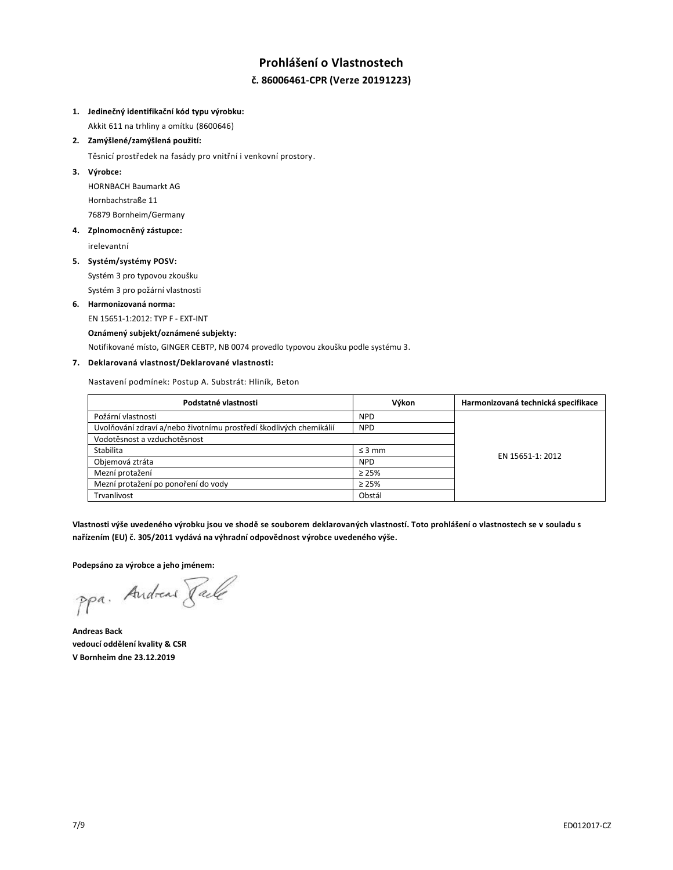# **Prohlášení o Vlastnostech č. 86006461-CPR (Verze 20191223)**

### **1. Jedinečný identifikační kód typu výrobku:**

Akkit 611 na trhliny a omítku (8600646)

# **2. Zamýšlené/zamýšlená použití:**

Těsnicí prostředek na fasády pro vnitřní i venkovní prostory.

## **3. Výrobce:**

HORNBACH Baumarkt AG Hornbachstraße 11 76879 Bornheim/Germany

# **4. Zplnomocněný zástupce:**

irelevantní

#### **5. Systém/systémy POSV:**

Systém 3 pro typovou zkoušku Systém 3 pro požární vlastnosti

#### **6. Harmonizovaná norma:**

EN 15651-1:2012: TYP F - EXT-INT

#### **Oznámený subjekt/oznámené subjekty:**

Notifikované místo, GINGER CEBTP, NB 0074 provedlo typovou zkoušku podle systému 3.

# **7. Deklarovaná vlastnost/Deklarované vlastnosti:**

Nastavení podmínek: Postup A. Substrát: Hliník, Beton

| Podstatné vlastnosti                                               | Výkon       | Harmonizovaná technická specifikace |
|--------------------------------------------------------------------|-------------|-------------------------------------|
| Požární vlastnosti                                                 | <b>NPD</b>  |                                     |
| Uvolňování zdraví a/nebo životnímu prostředí škodlivých chemikálií | <b>NPD</b>  |                                     |
| Vodotěsnost a vzduchotěsnost                                       |             |                                     |
| Stabilita                                                          | $\leq$ 3 mm | EN 15651-1: 2012                    |
| Objemová ztráta                                                    | <b>NPD</b>  |                                     |
| Mezní protažení                                                    | $\geq 25\%$ |                                     |
| Mezní protažení po ponoření do vody                                | $\geq 25\%$ |                                     |
| Trvanlivost                                                        | Obstál      |                                     |

**Vlastnosti výše uvedeného výrobku jsou ve shodě se souborem deklarovaných vlastností. Toto prohlášení o vlastnostech se v souladu s nařízením (EU) č. 305/2011 vydává na výhradní odpovědnost výrobce uvedeného výše.**

**Podepsáno za výrobce a jeho jménem:**

ppa. Andreas Face

**Andreas Back vedoucí oddělení kvality & CSR V Bornheim dne 23.12.2019**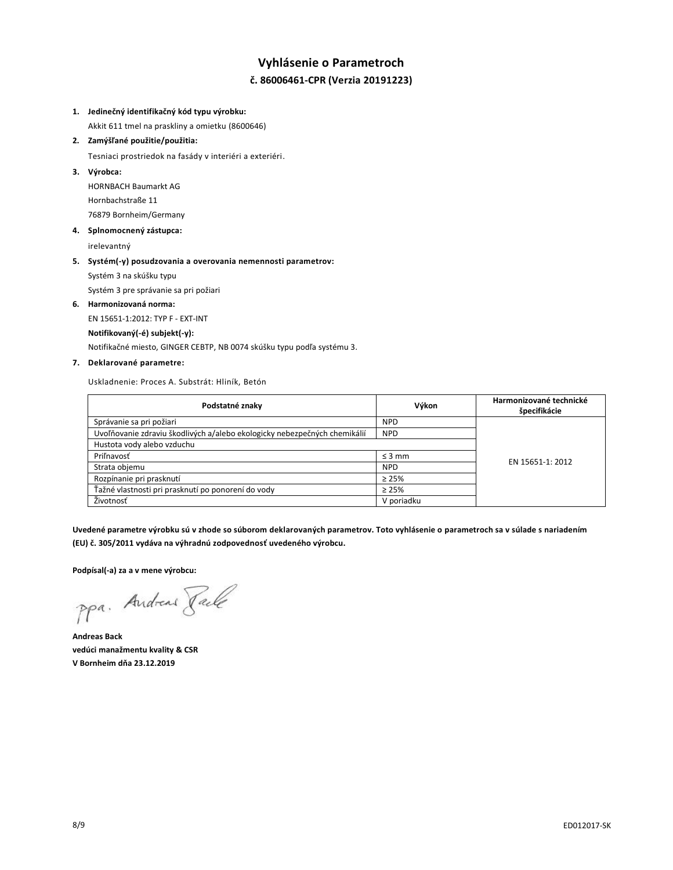# **Vyhlásenie o Parametroch č. 86006461-CPR (Verzia 20191223)**

# **1. Jedinečný identifikačný kód typu výrobku:**

Akkit 611 tmel na praskliny a omietku (8600646)

#### **2. Zamýšľané použitie/použitia:**

Tesniaci prostriedok na fasády v interiéri a exteriéri.

### **3. Výrobca:**

HORNBACH Baumarkt AG Hornbachstraße 11 76879 Bornheim/Germany

## **4. Splnomocnený zástupca:**

irelevantný

# **5. Systém(-y) posudzovania a overovania nemennosti parametrov:** Systém 3 na skúšku typu

Systém 3 pre správanie sa pri požiari

#### **6. Harmonizovaná norma:**

EN 15651-1:2012: TYP F - EXT-INT

#### **Notifikovaný(-é) subjekt(-y):**

Notifikačné miesto, GINGER CEBTP, NB 0074 skúšku typu podľa systému 3.

# **7. Deklarované parametre:**

Uskladnenie: Proces A. Substrát: Hliník, Betón

| Podstatné znaky                                                           | Výkon       | Harmonizované technické<br>špecifikácie |
|---------------------------------------------------------------------------|-------------|-----------------------------------------|
| Správanie sa pri požiari                                                  | <b>NPD</b>  |                                         |
| Uvoľňovanie zdraviu škodlivých a/alebo ekologicky nebezpečných chemikálií | <b>NPD</b>  |                                         |
| Hustota vody alebo vzduchu                                                |             |                                         |
| Priľnavosť                                                                | $\leq$ 3 mm | EN 15651-1: 2012                        |
| Strata objemu                                                             | <b>NPD</b>  |                                         |
| Rozpínanie pri prasknutí                                                  | $\geq$ 25%  |                                         |
| Ťažné vlastnosti pri prasknutí po ponorení do vody                        | $\geq 25\%$ |                                         |
| Životnosť                                                                 | V poriadku  |                                         |

**Uvedené parametre výrobku sú v zhode so súborom deklarovaných parametrov. Toto vyhlásenie o parametroch sa v súlade s nariadením (EU) č. 305/2011 vydáva na výhradnú zodpovednosť uvedeného výrobcu.**

**Podpísal(-a) za a v mene výrobcu:**

ppa. Andreas Pale

**Andreas Back vedúci manažmentu kvality & CSR V Bornheim dňa 23.12.2019**